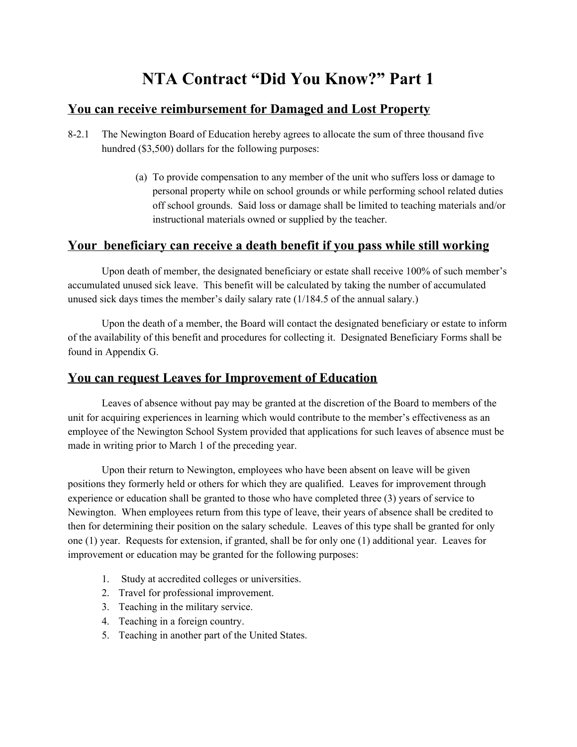## **NTA Contract "Did You Know?" Part 1**

## **You can receive reimbursement for Damaged and Lost Property**

- 8-2.1 The Newington Board of Education hereby agrees to allocate the sum of three thousand five hundred (\$3,500) dollars for the following purposes:
	- (a) To provide compensation to any member of the unit who suffers loss or damage to personal property while on school grounds or while performing school related duties off school grounds. Said loss or damage shall be limited to teaching materials and/or instructional materials owned or supplied by the teacher.

## **Your beneficiary can receive a death benefit if you pass while still working**

Upon death of member, the designated beneficiary or estate shall receive 100% of such member's accumulated unused sick leave. This benefit will be calculated by taking the number of accumulated unused sick days times the member's daily salary rate (1/184.5 of the annual salary.)

Upon the death of a member, the Board will contact the designated beneficiary or estate to inform of the availability of this benefit and procedures for collecting it. Designated Beneficiary Forms shall be found in Appendix G.

## **You can request Leaves for Improvement of Education**

Leaves of absence without pay may be granted at the discretion of the Board to members of the unit for acquiring experiences in learning which would contribute to the member's effectiveness as an employee of the Newington School System provided that applications for such leaves of absence must be made in writing prior to March 1 of the preceding year.

Upon their return to Newington, employees who have been absent on leave will be given positions they formerly held or others for which they are qualified. Leaves for improvement through experience or education shall be granted to those who have completed three (3) years of service to Newington. When employees return from this type of leave, their years of absence shall be credited to then for determining their position on the salary schedule. Leaves of this type shall be granted for only one (1) year. Requests for extension, if granted, shall be for only one (1) additional year. Leaves for improvement or education may be granted for the following purposes:

- 1. Study at accredited colleges or universities.
- 2. Travel for professional improvement.
- 3. Teaching in the military service.
- 4. Teaching in a foreign country.
- 5. Teaching in another part of the United States.